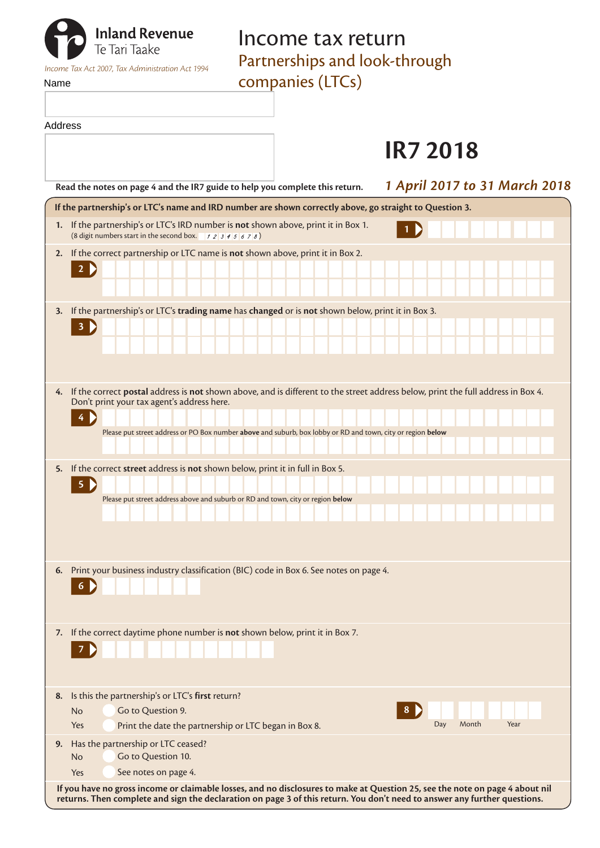|         | <b>Inland Revenue</b><br>Te Tari Taake<br>Income Tax Act 2007, Tax Administration Act 1994                                                                                                     | Income tax return<br>Partnerships and look-through |                               |
|---------|------------------------------------------------------------------------------------------------------------------------------------------------------------------------------------------------|----------------------------------------------------|-------------------------------|
| Name    |                                                                                                                                                                                                | companies (LTCs)                                   |                               |
| Address |                                                                                                                                                                                                |                                                    | <b>IR7 2018</b>               |
|         | Read the notes on page 4 and the IR7 guide to help you complete this return.                                                                                                                   |                                                    | 1 April 2017 to 31 March 2018 |
|         | If the partnership's or LTC's name and IRD number are shown correctly above, go straight to Question 3.                                                                                        |                                                    |                               |
|         | 1. If the partnership's or LTC's IRD number is not shown above, print it in Box 1.<br>(8 digit numbers start in the second box. $\begin{array}{c} 7 & 2 & 3 & 4 & 5 & 6 & 7 & 8 \end{array}$ ) |                                                    |                               |
| 2.      | If the correct partnership or LTC name is not shown above, print it in Box 2.<br>$2 \n\triangleright$                                                                                          |                                                    |                               |
|         |                                                                                                                                                                                                |                                                    |                               |
| 3.      | If the partnership's or LTC's trading name has changed or is not shown below, print it in Box 3.                                                                                               |                                                    |                               |
|         | 3 D                                                                                                                                                                                            |                                                    |                               |
|         |                                                                                                                                                                                                |                                                    |                               |
|         |                                                                                                                                                                                                |                                                    |                               |
|         | 4. If the correct postal address is not shown above, and is different to the street address below, print the full address in Box 4.<br>Don't print your tax agent's address here.              |                                                    |                               |
|         |                                                                                                                                                                                                |                                                    |                               |
|         | Please put street address or PO Box number above and suburb, box lobby or RD and town, city or region below                                                                                    |                                                    |                               |
| 5.      | If the correct street address is not shown below, print it in full in Box 5.                                                                                                                   |                                                    |                               |
|         | 5 <sup>2</sup>                                                                                                                                                                                 |                                                    |                               |
|         | Please put street address above and suburb or RD and town, city or region below                                                                                                                |                                                    |                               |
|         |                                                                                                                                                                                                |                                                    |                               |
|         |                                                                                                                                                                                                |                                                    |                               |
| 6.      | Print your business industry classification (BIC) code in Box 6. See notes on page 4.                                                                                                          |                                                    |                               |
|         | $6 \n\blacktriangleright$                                                                                                                                                                      |                                                    |                               |
|         |                                                                                                                                                                                                |                                                    |                               |
| 7.      | If the correct daytime phone number is not shown below, print it in Box 7.                                                                                                                     |                                                    |                               |
|         | $\overline{7}$                                                                                                                                                                                 |                                                    |                               |
|         |                                                                                                                                                                                                |                                                    |                               |
| 8.      | Is this the partnership's or LTC's first return?                                                                                                                                               |                                                    |                               |
|         | Go to Question 9.<br><b>No</b>                                                                                                                                                                 |                                                    |                               |
|         | Print the date the partnership or LTC began in Box 8.<br>Yes                                                                                                                                   |                                                    | Month<br>Year<br>Day          |
| 9.      | Has the partnership or LTC ceased?<br>Go to Question 10.<br><b>No</b>                                                                                                                          |                                                    |                               |
|         | See notes on page 4.<br>Yes                                                                                                                                                                    |                                                    |                               |

**If you have no gross income or claimable losses, and no disclosures to make at Question 25, see the note on page 4 about nil returns. Then complete and sign the declaration on page 3 of this return. You don't need to answer any further questions.**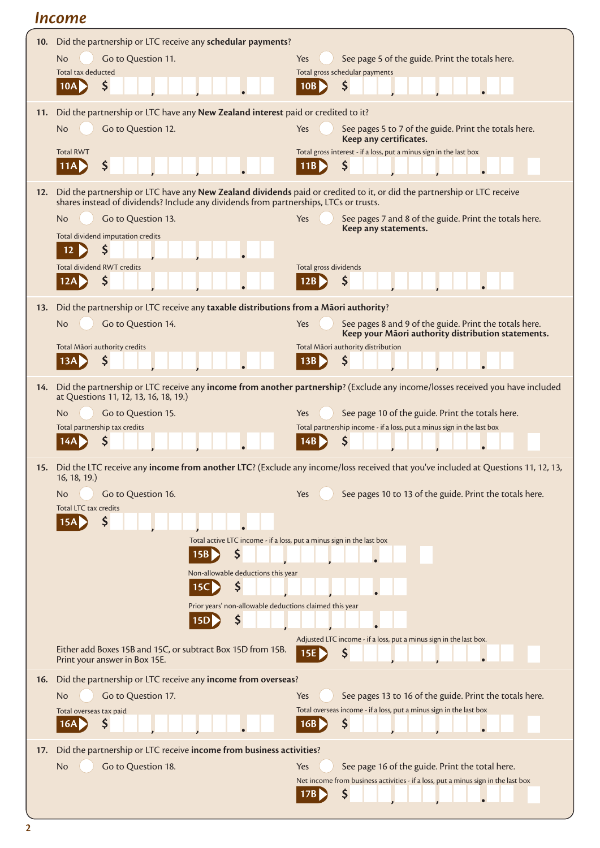# *Income*

| 10. | Did the partnership or LTC receive any schedular payments?                                                              |                                                                                                                                      |  |  |  |  |
|-----|-------------------------------------------------------------------------------------------------------------------------|--------------------------------------------------------------------------------------------------------------------------------------|--|--|--|--|
|     | Go to Question 11.<br><b>No</b>                                                                                         | See page 5 of the guide. Print the totals here.<br>Yes                                                                               |  |  |  |  |
|     | Total tax deducted                                                                                                      | Total gross schedular payments                                                                                                       |  |  |  |  |
|     | Ş<br>10A                                                                                                                | \$<br>10B                                                                                                                            |  |  |  |  |
| 11. | Did the partnership or LTC have any New Zealand interest paid or credited to it?                                        |                                                                                                                                      |  |  |  |  |
|     | Go to Question 12.<br>No                                                                                                | See pages 5 to 7 of the guide. Print the totals here.<br>Yes                                                                         |  |  |  |  |
|     |                                                                                                                         | Keep any certificates.                                                                                                               |  |  |  |  |
|     | <b>Total RWT</b>                                                                                                        | Total gross interest - if a loss, put a minus sign in the last box                                                                   |  |  |  |  |
|     | \$<br>11A                                                                                                               | \$<br>11B                                                                                                                            |  |  |  |  |
| 12. | Did the partnership or LTC have any New Zealand dividends paid or credited to it, or did the partnership or LTC receive |                                                                                                                                      |  |  |  |  |
|     | shares instead of dividends? Include any dividends from partnerships, LTCs or trusts.                                   |                                                                                                                                      |  |  |  |  |
|     | Go to Question 13.<br>No                                                                                                | Yes<br>See pages 7 and 8 of the guide. Print the totals here.                                                                        |  |  |  |  |
|     | Total dividend imputation credits                                                                                       | Keep any statements.                                                                                                                 |  |  |  |  |
|     | \$<br>12                                                                                                                |                                                                                                                                      |  |  |  |  |
|     | <b>Total dividend RWT credits</b>                                                                                       | Total gross dividends                                                                                                                |  |  |  |  |
|     | \$<br>12A                                                                                                               | \$<br>12B                                                                                                                            |  |  |  |  |
| 13. | Did the partnership or LTC receive any taxable distributions from a Māori authority?                                    |                                                                                                                                      |  |  |  |  |
|     | Go to Question 14.<br>No                                                                                                | Yes<br>See pages 8 and 9 of the guide. Print the totals here.                                                                        |  |  |  |  |
|     |                                                                                                                         | Keep your Māori authority distribution statements.                                                                                   |  |  |  |  |
|     | Total Māori authority credits                                                                                           | Total Māori authority distribution                                                                                                   |  |  |  |  |
|     | S<br>13A                                                                                                                | \$<br>13B                                                                                                                            |  |  |  |  |
| 14. |                                                                                                                         | Did the partnership or LTC receive any income from another partnership? (Exclude any income/losses received you have included        |  |  |  |  |
|     | at Questions 11, 12, 13, 16, 18, 19.)                                                                                   |                                                                                                                                      |  |  |  |  |
|     | Go to Question 15.<br>No                                                                                                | See page 10 of the guide. Print the totals here.<br>Yes                                                                              |  |  |  |  |
|     | Total partnership tax credits                                                                                           | Total partnership income - if a loss, put a minus sign in the last box                                                               |  |  |  |  |
|     | 14A                                                                                                                     | Ş<br>14B                                                                                                                             |  |  |  |  |
|     |                                                                                                                         | 15. Did the LTC receive any income from another LTC? (Exclude any income/loss received that you've included at Questions 11, 12, 13, |  |  |  |  |
|     | 16, 18, 19.)                                                                                                            |                                                                                                                                      |  |  |  |  |
|     | Go to Question 16.<br>No.<br>Total LTC tax credits                                                                      | See pages 10 to 13 of the guide. Print the totals here.<br>Yes                                                                       |  |  |  |  |
|     | 15A                                                                                                                     |                                                                                                                                      |  |  |  |  |
|     |                                                                                                                         |                                                                                                                                      |  |  |  |  |
|     | Total active LTC income - if a loss, put a minus sign in the last box<br>\$<br>15B                                      |                                                                                                                                      |  |  |  |  |
|     | Non-allowable deductions this year                                                                                      |                                                                                                                                      |  |  |  |  |
|     | \$<br>15 <sub>C</sub>                                                                                                   |                                                                                                                                      |  |  |  |  |
|     | Prior years' non-allowable deductions claimed this year                                                                 |                                                                                                                                      |  |  |  |  |
|     | S<br><b>15D</b>                                                                                                         |                                                                                                                                      |  |  |  |  |
|     |                                                                                                                         | Adjusted LTC income - if a loss, put a minus sign in the last box.                                                                   |  |  |  |  |
|     | Either add Boxes 15B and 15C, or subtract Box 15D from 15B.                                                             | 15E<br>Ş                                                                                                                             |  |  |  |  |
|     | Print your answer in Box 15E.                                                                                           |                                                                                                                                      |  |  |  |  |
| 16. | Did the partnership or LTC receive any income from overseas?                                                            |                                                                                                                                      |  |  |  |  |
|     | Go to Question 17.<br>No                                                                                                | See pages 13 to 16 of the guide. Print the totals here.<br>Yes                                                                       |  |  |  |  |
|     | Total overseas tax paid                                                                                                 | Total overseas income - if a loss, put a minus sign in the last box                                                                  |  |  |  |  |
|     | Ş<br>16A                                                                                                                | Ş<br>16B                                                                                                                             |  |  |  |  |
| 17. | Did the partnership or LTC receive income from business activities?                                                     |                                                                                                                                      |  |  |  |  |
|     | Go to Question 18.<br>No                                                                                                | See page 16 of the guide. Print the total here.<br>Yes                                                                               |  |  |  |  |
|     |                                                                                                                         | Net income from business activities - if a loss, put a minus sign in the last box                                                    |  |  |  |  |
|     |                                                                                                                         | \$<br>17B                                                                                                                            |  |  |  |  |
|     |                                                                                                                         |                                                                                                                                      |  |  |  |  |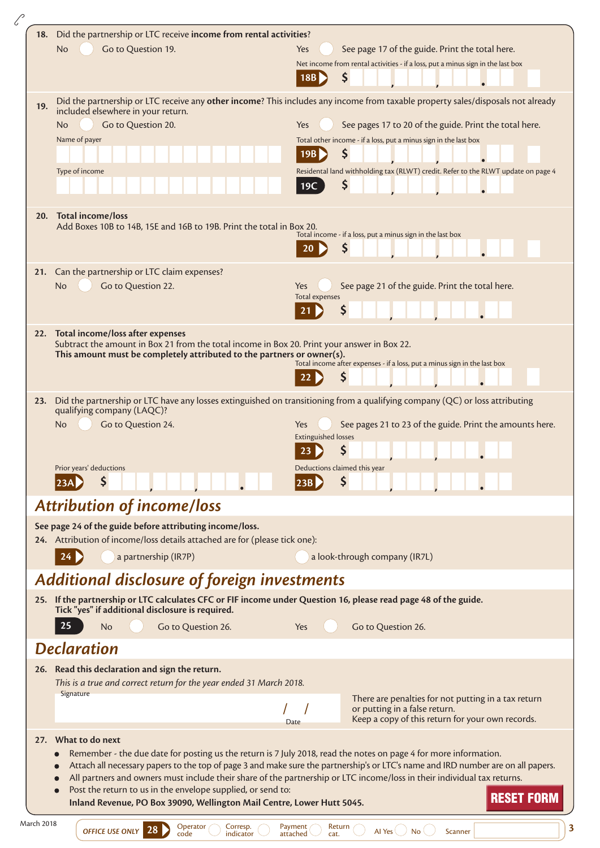|     | 18. Did the partnership or LTC receive income from rental activities?                                                                                                 |                                                                                                                                                                                                                                                      |  |  |  |
|-----|-----------------------------------------------------------------------------------------------------------------------------------------------------------------------|------------------------------------------------------------------------------------------------------------------------------------------------------------------------------------------------------------------------------------------------------|--|--|--|
|     | <b>No</b><br>Go to Question 19.                                                                                                                                       | See page 17 of the guide. Print the total here.<br>Yes                                                                                                                                                                                               |  |  |  |
|     |                                                                                                                                                                       | Net income from rental activities - if a loss, put a minus sign in the last box                                                                                                                                                                      |  |  |  |
|     |                                                                                                                                                                       | S<br>18B                                                                                                                                                                                                                                             |  |  |  |
|     |                                                                                                                                                                       |                                                                                                                                                                                                                                                      |  |  |  |
| 19. | Did the partnership or LTC receive any other income? This includes any income from taxable property sales/disposals not already<br>included elsewhere in your return. |                                                                                                                                                                                                                                                      |  |  |  |
|     | Go to Question 20.<br>N <sub>o</sub>                                                                                                                                  | See pages 17 to 20 of the guide. Print the total here.<br>Yes                                                                                                                                                                                        |  |  |  |
|     | Name of payer                                                                                                                                                         | Total other income - if a loss, put a minus sign in the last box                                                                                                                                                                                     |  |  |  |
|     |                                                                                                                                                                       | $\zeta$<br>19B                                                                                                                                                                                                                                       |  |  |  |
|     | Type of income                                                                                                                                                        | Residental land withholding tax (RLWT) credit. Refer to the RLWT update on page 4                                                                                                                                                                    |  |  |  |
|     |                                                                                                                                                                       | \$<br>19C                                                                                                                                                                                                                                            |  |  |  |
|     |                                                                                                                                                                       |                                                                                                                                                                                                                                                      |  |  |  |
|     | 20. Total income/loss                                                                                                                                                 |                                                                                                                                                                                                                                                      |  |  |  |
|     | Add Boxes 10B to 14B, 15E and 16B to 19B. Print the total in Box 20.                                                                                                  | Total income - if a loss, put a minus sign in the last box                                                                                                                                                                                           |  |  |  |
|     |                                                                                                                                                                       |                                                                                                                                                                                                                                                      |  |  |  |
|     |                                                                                                                                                                       |                                                                                                                                                                                                                                                      |  |  |  |
|     | 21. Can the partnership or LTC claim expenses?                                                                                                                        |                                                                                                                                                                                                                                                      |  |  |  |
|     | Go to Question 22.<br>No                                                                                                                                              | See page 21 of the guide. Print the total here.<br>Yes<br>Total expenses                                                                                                                                                                             |  |  |  |
|     |                                                                                                                                                                       | S                                                                                                                                                                                                                                                    |  |  |  |
|     |                                                                                                                                                                       |                                                                                                                                                                                                                                                      |  |  |  |
|     | 22. Total income/loss after expenses                                                                                                                                  |                                                                                                                                                                                                                                                      |  |  |  |
|     | Subtract the amount in Box 21 from the total income in Box 20. Print your answer in Box 22.<br>This amount must be completely attributed to the partners or owner(s). |                                                                                                                                                                                                                                                      |  |  |  |
|     |                                                                                                                                                                       | Total income after expenses - if a loss, put a minus sign in the last box                                                                                                                                                                            |  |  |  |
|     |                                                                                                                                                                       | \$                                                                                                                                                                                                                                                   |  |  |  |
| 23. |                                                                                                                                                                       | Did the partnership or LTC have any losses extinguished on transitioning from a qualifying company (QC) or loss attributing                                                                                                                          |  |  |  |
|     | qualifying company (LAQC)?                                                                                                                                            |                                                                                                                                                                                                                                                      |  |  |  |
|     | Go to Question 24.<br>No                                                                                                                                              | See pages 21 to 23 of the guide. Print the amounts here.<br>Yes                                                                                                                                                                                      |  |  |  |
|     |                                                                                                                                                                       | <b>Extinguished losses</b>                                                                                                                                                                                                                           |  |  |  |
|     |                                                                                                                                                                       | \$<br>23                                                                                                                                                                                                                                             |  |  |  |
|     | Prior years' deductions                                                                                                                                               | Deductions claimed this year                                                                                                                                                                                                                         |  |  |  |
|     | 123AP                                                                                                                                                                 | S<br> 23B                                                                                                                                                                                                                                            |  |  |  |
|     | <b>Attribution of income/loss</b>                                                                                                                                     |                                                                                                                                                                                                                                                      |  |  |  |
|     | See page 24 of the guide before attributing income/loss.                                                                                                              |                                                                                                                                                                                                                                                      |  |  |  |
|     | 24. Attribution of income/loss details attached are for (please tick one):                                                                                            |                                                                                                                                                                                                                                                      |  |  |  |
|     | a partnership (IR7P)                                                                                                                                                  | a look-through company (IR7L)                                                                                                                                                                                                                        |  |  |  |
|     |                                                                                                                                                                       |                                                                                                                                                                                                                                                      |  |  |  |
|     | Additional disclosure of foreign investments                                                                                                                          |                                                                                                                                                                                                                                                      |  |  |  |
|     |                                                                                                                                                                       |                                                                                                                                                                                                                                                      |  |  |  |
|     | 25. If the partnership or LTC calculates CFC or FIF income under Question 16, please read page 48 of the guide.<br>Tick "yes" if additional disclosure is required.   |                                                                                                                                                                                                                                                      |  |  |  |
|     | 25<br>Go to Question 26.<br>No                                                                                                                                        | Go to Question 26.<br>Yes                                                                                                                                                                                                                            |  |  |  |
|     |                                                                                                                                                                       |                                                                                                                                                                                                                                                      |  |  |  |
|     | <b>Declaration</b>                                                                                                                                                    |                                                                                                                                                                                                                                                      |  |  |  |
|     | 26. Read this declaration and sign the return.                                                                                                                        |                                                                                                                                                                                                                                                      |  |  |  |
|     | This is a true and correct return for the year ended 31 March 2018.                                                                                                   |                                                                                                                                                                                                                                                      |  |  |  |
|     | Signature                                                                                                                                                             | There are penalties for not putting in a tax return                                                                                                                                                                                                  |  |  |  |
|     |                                                                                                                                                                       | or putting in a false return.<br>Keep a copy of this return for your own records.<br>Date                                                                                                                                                            |  |  |  |
|     |                                                                                                                                                                       |                                                                                                                                                                                                                                                      |  |  |  |
|     | 27. What to do next                                                                                                                                                   |                                                                                                                                                                                                                                                      |  |  |  |
|     |                                                                                                                                                                       | Remember - the due date for posting us the return is 7 July 2018, read the notes on page 4 for more information.<br>Attach all necessary papers to the top of page 3 and make sure the partnership's or LTC's name and IRD number are on all papers. |  |  |  |
|     |                                                                                                                                                                       | All partners and owners must include their share of the partnership or LTC income/loss in their individual tax returns.                                                                                                                              |  |  |  |
|     | Post the return to us in the envelope supplied, or send to:<br>Inland Revenue, PO Box 39090, Wellington Mail Centre, Lower Hutt 5045.                                 | <b>RESET FORM</b>                                                                                                                                                                                                                                    |  |  |  |